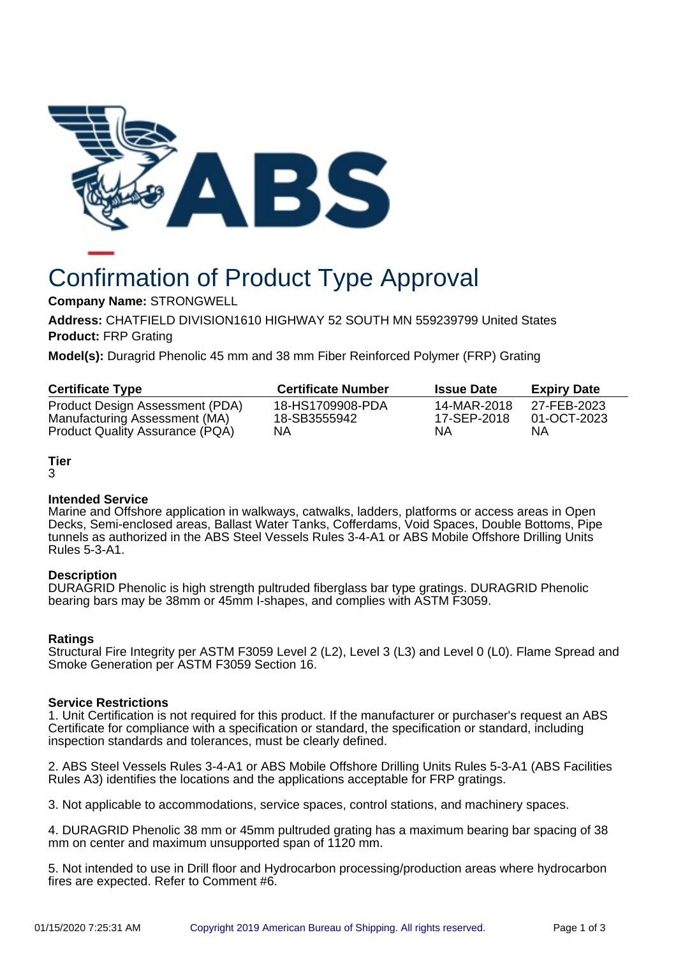

# Confirmation of Product Type Approval

**Company Name:** STRONGWELL

**Address:** CHATFIELD DIVISION1610 HIGHWAY 52 SOUTH MN 559239799 United States **Product:** FRP Grating

**Model(s):** Duragrid Phenolic 45 mm and 38 mm Fiber Reinforced Polymer (FRP) Grating

| <b>Certificate Type</b>         | <b>Certificate Number</b> | <b>Issue Date</b> | <b>Expiry Date</b> |
|---------------------------------|---------------------------|-------------------|--------------------|
| Product Design Assessment (PDA) | 18-HS1709908-PDA          | 14-MAR-2018       | 27-FEB-2023        |
| Manufacturing Assessment (MA)   | 18-SB3555942              | 17-SEP-2018       | 01-OCT-2023        |
| Product Quality Assurance (PQA) | NΑ                        | ΝA                | ΝA                 |

# **Tier**

3

# **Intended Service**

Marine and Offshore application in walkways, catwalks, ladders, platforms or access areas in Open Decks, Semi-enclosed areas, Ballast Water Tanks, Cofferdams, Void Spaces, Double Bottoms, Pipe tunnels as authorized in the ABS Steel Vessels Rules 3-4-A1 or ABS Mobile Offshore Drilling Units Rules 5-3-A1.

# **Description**

DURAGRID Phenolic is high strength pultruded fiberglass bar type gratings. DURAGRID Phenolic bearing bars may be 38mm or 45mm I-shapes, and complies with ASTM F3059.

# **Ratings**

Structural Fire Integrity per ASTM F3059 Level 2 (L2), Level 3 (L3) and Level 0 (L0). Flame Spread and Smoke Generation per ASTM F3059 Section 16.

#### **Service Restrictions**

1. Unit Certification is not required for this product. If the manufacturer or purchaser's request an ABS Certificate for compliance with a specification or standard, the specification or standard, including inspection standards and tolerances, must be clearly defined.

2. ABS Steel Vessels Rules 3-4-A1 or ABS Mobile Offshore Drilling Units Rules 5-3-A1 (ABS Facilities Rules A3) identifies the locations and the applications acceptable for FRP gratings.

3. Not applicable to accommodations, service spaces, control stations, and machinery spaces.

4. DURAGRID Phenolic 38 mm or 45mm pultruded grating has a maximum bearing bar spacing of 38 mm on center and maximum unsupported span of 1120 mm.

5. Not intended to use in Drill floor and Hydrocarbon processing/production areas where hydrocarbon fires are expected. Refer to Comment #6.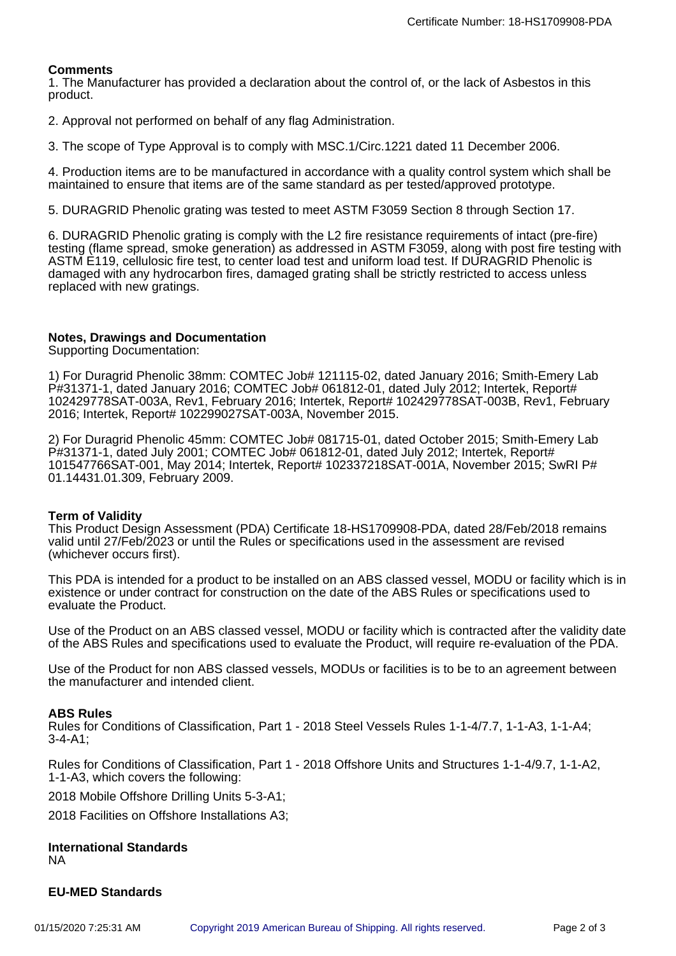### **Comments**

1. The Manufacturer has provided a declaration about the control of, or the lack of Asbestos in this product.

2. Approval not performed on behalf of any flag Administration.

3. The scope of Type Approval is to comply with MSC.1/Circ.1221 dated 11 December 2006.

4. Production items are to be manufactured in accordance with a quality control system which shall be maintained to ensure that items are of the same standard as per tested/approved prototype.

5. DURAGRID Phenolic grating was tested to meet ASTM F3059 Section 8 through Section 17.

6. DURAGRID Phenolic grating is comply with the L2 fire resistance requirements of intact (pre-fire) testing (flame spread, smoke generation) as addressed in ASTM F3059, along with post fire testing with ASTM E119, cellulosic fire test, to center load test and uniform load test. If DURAGRID Phenolic is damaged with any hydrocarbon fires, damaged grating shall be strictly restricted to access unless replaced with new gratings.

#### **Notes, Drawings and Documentation**

Supporting Documentation:

1) For Duragrid Phenolic 38mm: COMTEC Job# 121115-02, dated January 2016; Smith-Emery Lab P#31371-1, dated January 2016; COMTEC Job# 061812-01, dated July 2012; Intertek, Report# 102429778SAT-003A, Rev1, February 2016; Intertek, Report# 102429778SAT-003B, Rev1, February 2016; Intertek, Report# 102299027SAT-003A, November 2015.

2) For Duragrid Phenolic 45mm: COMTEC Job# 081715-01, dated October 2015; Smith-Emery Lab P#31371-1, dated July 2001; COMTEC Job# 061812-01, dated July 2012; Intertek, Report# 101547766SAT-001, May 2014; Intertek, Report# 102337218SAT-001A, November 2015; SwRI P# 01.14431.01.309, February 2009.

#### **Term of Validity**

This Product Design Assessment (PDA) Certificate 18-HS1709908-PDA, dated 28/Feb/2018 remains valid until 27/Feb/2023 or until the Rules or specifications used in the assessment are revised (whichever occurs first).

This PDA is intended for a product to be installed on an ABS classed vessel, MODU or facility which is in existence or under contract for construction on the date of the ABS Rules or specifications used to evaluate the Product.

Use of the Product on an ABS classed vessel, MODU or facility which is contracted after the validity date of the ABS Rules and specifications used to evaluate the Product, will require re-evaluation of the PDA.

Use of the Product for non ABS classed vessels, MODUs or facilities is to be to an agreement between the manufacturer and intended client.

#### **ABS Rules**

Rules for Conditions of Classification, Part 1 - 2018 Steel Vessels Rules 1-1-4/7.7, 1-1-A3, 1-1-A4; 3-4-A1;

Rules for Conditions of Classification, Part 1 - 2018 Offshore Units and Structures 1-1-4/9.7, 1-1-A2, 1-1-A3, which covers the following:

2018 Mobile Offshore Drilling Units 5-3-A1;

2018 Facilities on Offshore Installations A3;

#### **International Standards** NA

#### **EU-MED Standards**